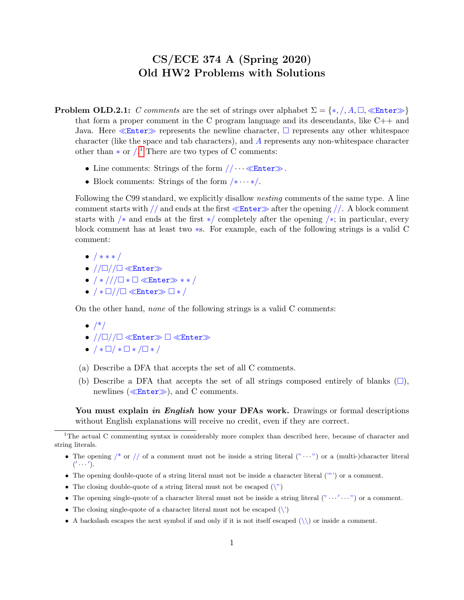## CS/ECE 374 A (Spring 2020) Old HW2 Problems with Solutions

- **Problem OLD.2.1:** C comments are the set of strings over alphabet  $\Sigma = \{*, /, A, \Box, \ll \text{Enter} \gg \}$ that form a proper comment in the C program language and its descendants, like  $C++$  and Java. Here  $\ll$  Enter  $\gg$  represents the newline character,  $\Box$  represents any other whitespace character (like the space and tab characters), and A represents any non-whitespace character other than  $*$  or  $\frac{1}{1}$  $\frac{1}{1}$  $\frac{1}{1}$ . There are two types of C comments:
	- Line comments: Strings of the form  $// \cdots \ll$  Enter ».
	- Block comments: Strings of the form  $/* \cdots */$ .

Following the C99 standard, we explicitly disallow nesting comments of the same type. A line comment starts with // and ends at the first  $\ll$  Enter  $\gg$  after the opening //. A block comment starts with /\* and ends at the first \*/ completely after the opening /\*; in particular, every block comment has at least two ∗s. For example, each of the following strings is a valid C comment:

- / ∗ ∗ ∗ /
- $//\square //\square \ll$ Enter $\gg$
- $/*//\Box * \Box \ll$ Enter $*$  \*\*/
- $/* \Box // \Box \ll$ Enter $\gg \Box * /$

On the other hand, none of the following strings is a valid C comments:

- $\bullet$  /\*/
- $//\square //\square \ll$ Enter $\gg \square \ll$ Enter $\gg$
- $\bullet$  /  $\ast$   $\Box$   $\ast$   $\Box$   $\ast$  /  $\Box$   $\ast$  /
- (a) Describe a DFA that accepts the set of all C comments.
- (b) Describe a DFA that accepts the set of all strings composed entirely of blanks  $(\square)$ , newlines ( $\ll$ Enter $\gg$ ), and C comments.

You must explain *in English* how your DFAs work. Drawings or formal descriptions without English explanations will receive no credit, even if they are correct.

- The opening double-quote of a string literal must not be inside a character literal ('"') or a comment.
- The closing double-quote of a string literal must not be escaped  $(\nabla)$
- The opening single-quote of a character literal must not be inside a string literal  $($ " $\cdots' \cdots$ ") or a comment.
- The closing single-quote of a character literal must not be escaped  $(\n)$
- A backslash escapes the next symbol if and only if it is not itself escaped  $(\setminus)$  or inside a comment.

<span id="page-0-0"></span><sup>&</sup>lt;sup>1</sup>The actual C commenting syntax is considerably more complex than described here, because of character and string literals.

<sup>•</sup> The opening  $\frac{1}{k}$  or  $\frac{1}{k}$  of a comment must not be inside a string literal  $(\cdots)$  or a (multi-)character literal  $($ ' $\cdots$ ' $).$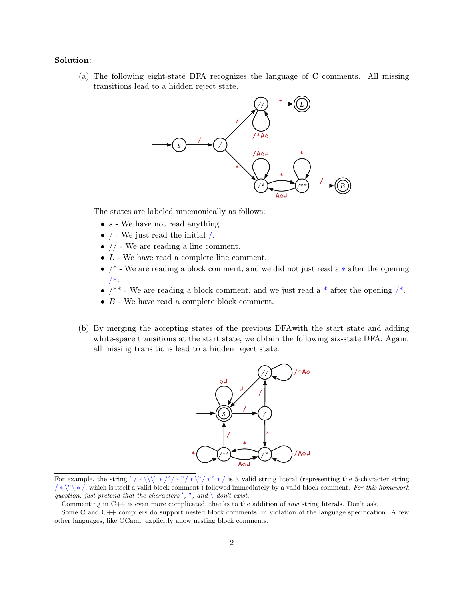## Solution:

(a) The following eight-state DFA recognizes the language of C comments. All missing transitions lead to a hidden reject state.



The states are labeled mnemonically as follows:

- $s$  We have not read anything.
- $\bullet$  / We just read the initial /.
- $\bullet$  // We are reading a line comment.
- $\bullet$  L We have read a complete line comment.
- /\* We are reading a block comment, and we did not just read a ∗ after the opening /∗.
- $/**$  We are reading a block comment, and we just read a  $*$  after the opening  $/*$ .
- $\bullet$  B We have read a complete block comment.
- (b) By merging the accepting states of the previous DFAwith the start state and adding white-space transitions at the start state, we obtain the following six-state DFA. Again, all missing transitions lead to a hidden reject state.



For example, the string "/\*\\\" \*/"/\*"/\*\"/\*" \*/ is a valid string literal (representing the 5-character string  $/\ast \backslash \infty$  \*/, which is itself a valid block comment!) followed immediately by a valid block comment. For this homework question, just pretend that the characters', ", and  $\setminus$  don't exist.

Commenting in C++ is even more complicated, thanks to the addition of raw string literals. Don't ask.

Some C and C++ compilers do support nested block comments, in violation of the language specification. A few other languages, like OCaml, explicitly allow nesting block comments.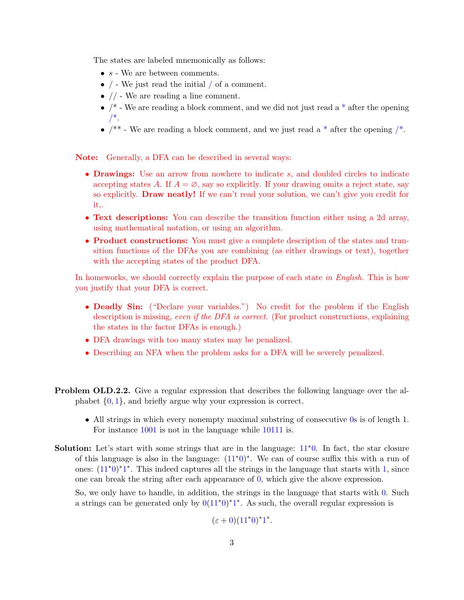The states are labeled mnemonically as follows:

- $\bullet\;s$  We are between comments.
- $\bullet$  / We just read the initial / of a comment.
- $\bullet$  // We are reading a line comment.
- $/*$  We are reading a block comment, and we did not just read a  $*$  after the opening  $/$ \*.
- $/**$  We are reading a block comment, and we just read a  $*$  after the opening  $/*$ .

Note: Generally, a DFA can be described in several ways:

- **Drawings:** Use an arrow from nowhere to indicate s, and doubled circles to indicate accepting states A. If  $A = \emptyset$ , say so explicitly. If your drawing omits a reject state, say so explicitly. Draw neatly! If we can't read your solution, we can't give you credit for it,.
- Text descriptions: You can describe the transition function either using a 2d array, using mathematical notation, or using an algorithm.
- **Product constructions:** You must give a complete description of the states and transition functions of the DFAs you are combining (as either drawings or text), together with the accepting states of the product DFA.

In homeworks, we should correctly explain the purpose of each state in English. This is how you justify that your DFA is correct.

- Deadly Sin: ("Declare your variables.") No credit for the problem if the English description is missing, even if the DFA is correct. (For product constructions, explaining the states in the factor DFAs is enough.)
- DFA drawings with too many states may be penalized.
- Describing an NFA when the problem asks for a DFA will be severely penalized.
- Problem OLD.2.2. Give a regular expression that describes the following language over the alphabet {0, 1}, and briefly argue why your expression is correct.
	- All strings in which every nonempty maximal substring of consecutive 0s is of length 1. For instance 1001 is not in the language while 10111 is.
- **Solution:** Let's start with some strings that are in the language:  $11*0$ . In fact, the star closure of this language is also in the language:  $(11<sup>*</sup>0)<sup>*</sup>$ . We can of course suffix this with a run of ones:  $(11<sup>*</sup>0)<sup>*</sup>1<sup>*</sup>$ . This indeed captures all the strings in the language that starts with 1, since one can break the string after each appearance of 0, which give the above expression.

So, we only have to handle, in addition, the strings in the language that starts with 0. Such a strings can be generated only by  $0(11^*0)^*1^*$ . As such, the overall regular expression is

 $(\varepsilon + 0)(11^*0)^*1^*.$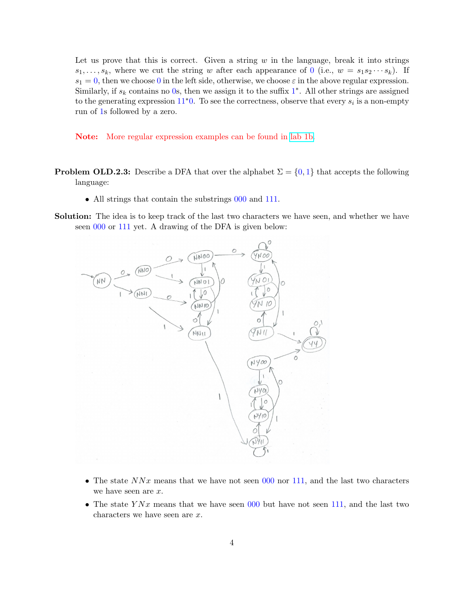Let us prove that this is correct. Given a string  $w$  in the language, break it into strings  $s_1, \ldots, s_k$ , where we cut the string w after each appearance of 0 (i.e.,  $w = s_1 s_2 \cdots s_k$ ). If  $s_1 = 0$ , then we choose 0 in the left side, otherwise, we choose  $\varepsilon$  in the above regular expression. Similarly, if  $s_k$  contains no 0s, then we assign it to the suffix  $1^*$ . All other strings are assigned to the generating expression  $11^*0$ . To see the correctness, observe that every  $s_i$  is a non-empty run of 1s followed by a zero.

Note: More regular expression examples can be found in [lab 1b.](https://courses.grainger.illinois.edu/cs374/sp2020/A/labs/lab_01_b_sol.pdf)

- **Problem OLD.2.3:** Describe a DFA that over the alphabet  $\Sigma = \{0, 1\}$  that accepts the following language:
	- All strings that contain the substrings 000 and 111.
- Solution: The idea is to keep track of the last two characters we have seen, and whether we have seen 000 or 111 yet. A drawing of the DFA is given below:



- The state  $NNx$  means that we have not seen 000 nor 111, and the last two characters we have seen are x.
- The state  $YNx$  means that we have seen 000 but have not seen 111, and the last two characters we have seen are x.